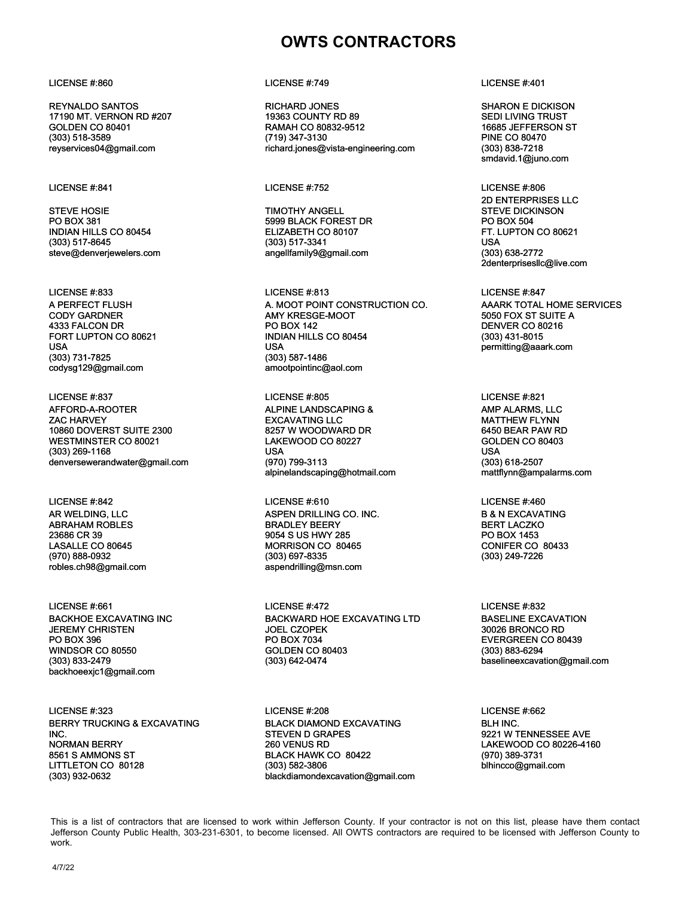REYNALDO SANTOS 17190 MT. VERNON RD #207 GOLDEN CO 80401 (303) 518-3589 reyservices04@gmail.com

STEVE HOSIE PO BOX 381 INDIAN HILLS CO 80454 (303) 517-8645 steve@denverjewelers.com

A PERFECT FLUSH CODY GARDNER 4333 FALCON DR FORT LUPTON CO 80621 USA (303) 731-7825 codysg129@gmail.com

LICENSE #:837 LICENSE #:805 LICENSE #:821

AFFORD-A-ROOTER ZAC HARVEY 10860 DOVERST SUITE 2300 WESTMINSTER CO 80021 (303) 269-1168 denversewerandwater@gmail.com

### LICENSE #:842 LICENSE #:610 LICENSE #:460

AR WELDING, LLC ABRAHAM ROBLES 23686 CR 39 LASALLE CO 80645 (970) 888-0932 robles.ch98@gmail.com

BACKHOE EXCAVATING INC JEREMY CHRISTEN PO BOX 396 WINDSOR CO 80550 (303) 833-2479 backhoeexjc1@gmail.com

LICENSE #:323 LICENSE #:208 LICENSE #:662 BERRY TRUCKING & EXCAVATING INC. NORMAN BERRY 8561 S AMMONS ST LITTLETON CO 80128 (303) 932-0632

### LICENSE #:860 LICENSE #:749 LICENSE #:401

RICHARD JONES 19363 COUNTY RD 89 RAMAH CO 80832-9512 (719) 347-3130 richard.jones@vista-engineering.com

### LICENSE #:841 LICENSE #:752 LICENSE #:806

TIMOTHY ANGELL 5999 BLACK FOREST DR ELIZABETH CO 80107 (303) 517-3341 angellfamily9@gmail.com

LICENSE #:833 LICENSE #:813 LICENSE #:847 A. MOOT POINT CONSTRUCTION CO. AMY KRESGE-MOOT PO BOX 142 INDIAN HILLS CO 80454 USA (303) 587-1486 amootpointinc@aol.com

ALPINE LANDSCAPING & EXCAVATING LLC 8257 W WOODWARD DR LAKEWOOD CO 80227 USA (970) 799-3113 alpinelandscaping@hotmail.com

ASPEN DRILLING CO. INC. BRADLEY BEERY 9054 S US HWY 285 MORRISON CO 80465 (303) 697-8335 aspendrilling@msn.com

LICENSE #:661 LICENSE #:472 LICENSE #:832 BACKWARD HOE EXCAVATING LTD JOEL CZOPEK PO BOX 7034 GOLDEN CO 80403 (303) 642-0474

> BLACK DIAMOND EXCAVATING STEVEN D GRAPES 260 VENUS RD BLACK HAWK CO 80422 (303) 582-3806 blackdiamondexcavation@gmail.com

SHARON E DICKISON SEDI LIVING TRUST 16685 JEFFERSON ST PINE CO 80470 (303) 838-7218 smdavid.1@juno.com

2D ENTERPRISES LLC STEVE DICKINSON PO BOX 504 FT. LUPTON CO 80621 USA (303) 638-2772 2denterprisesllc@live.com

## AAARK TOTAL HOME SERVICES 5050 FOX ST SUITE A DENVER CO 80216 (303) 431-8015 permitting@aaark.com

AMP ALARMS, LLC MATTHEW FLYNN 6450 BEAR PAW RD GOLDEN CO 80403 USA (303) 618-2507 mattflynn@ampalarms.com

B & N EXCAVATING BERT LACZKO PO BOX 1453 CONIFER CO 80433 (303) 249-7226

BASELINE EXCAVATION 30026 BRONCO RD EVERGREEN CO 80439 (303) 883-6294 baselineexcavation@gmail.com

BLH INC. 9221 W TENNESSEE AVE LAKEWOOD CO 80226-4160 (970) 389-3731 blhincco@gmail.com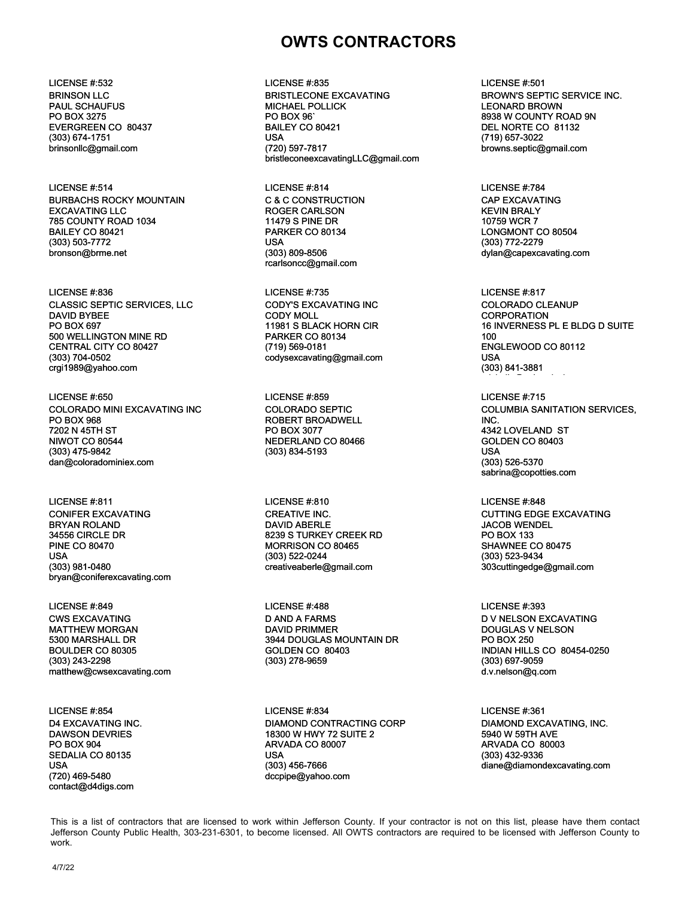### BRINSON LLC PAUL SCHAUFUS PO BOX 3275 EVERGREEN CO 80437 (303) 674-1751 brinsonllc@gmail.com

LICENSE #:514 LICENSE #:814 LICENSE #:784 BURBACHS ROCKY MOUNTAIN EXCAVATING LLC 785 COUNTY ROAD 1034 BAILEY CO 80421 (303) 503-7772 bronson@brme.net

LICENSE #:836 LICENSE #:735 LICENSE #:817 CLASSIC SEPTIC SERVICES, LLC DAVID BYBEE PO BOX 697 500 WELLINGTON MINE RD CENTRAL CITY CO 80427 (303) 704-0502 crgi1989@yahoo.com

LICENSE #:650 LICENSE #:859 LICENSE #:715 COLORADO MINI EXCAVATING INC PO BOX 968 7202 N 45TH ST NIWOT CO 80544 (303) 475-9842 dan@coloradominiex.com

LICENSE #:811 LICENSE #:810 LICENSE #:848 CONIFER EXCAVATING BRYAN ROLAND 34556 CIRCLE DR PINE CO 80470 USA (303) 981-0480 bryan@coniferexcavating.com

CWS EXCAVATING MATTHEW MORGAN 5300 MARSHALL DR BOULDER CO 80305 (303) 243-2298 matthew@cwsexcavating.com

D4 EXCAVATING INC. DAWSON DEVRIES PO BOX 904 SEDALIA CO 80135 USA (720) 469-5480 contact@d4digs.com

# **OWTS CONTRACTORS**

LICENSE #:532 LICENSE #:835 LICENSE #:501 BRISTLECONE EXCAVATING MICHAEL POLLICK PO BOX 96` BAILEY CO 80421 USA (720) 597-7817 bristleconeexcavatingLLC@gmail.com

> C & C CONSTRUCTION ROGER CARLSON 11479 S PINE DR PARKER CO 80134 USA (303) 809-8506 rcarlsoncc@gmail.com

CODY'S EXCAVATING INC CODY MOLL 11981 S BLACK HORN CIR PARKER CO 80134 (719) 569-0181 codysexcavating@gmail.com

COLORADO SEPTIC ROBERT BROADWELL PO BOX 3077 NEDERLAND CO 80466 (303) 834-5193

CREATIVE INC. DAVID ABERLE 8239 S TURKEY CREEK RD MORRISON CO 80465 (303) 522-0244 creativeaberle@gmail.com

LICENSE #:849 LICENSE #:488 LICENSE #:393 D AND A FARMS DAVID PRIMMER 3944 DOUGLAS MOUNTAIN DR GOLDEN CO 80403 (303) 278-9659

LICENSE #:854 LICENSE #:834 LICENSE #:361 DIAMOND CONTRACTING CORP 18300 W HWY 72 SUITE 2 ARVADA CO 80007 USA (303) 456-7666 dccpipe@yahoo.com

BROWN'S SEPTIC SERVICE INC. LEONARD BROWN 8938 W COUNTY ROAD 9N DEL NORTE CO 81132 (719) 657-3022 browns.septic@gmail.com

CAP EXCAVATING KEVIN BRALY 10759 WCR 7 LONGMONT CO 80504 (303) 772-2279 dylan@capexcavating.com

COLORADO CLEANUP CORPORATION 16 INVERNESS PL E BLDG D SUITE 100 ENGLEWOOD CO 80112 USA (303) 841-3881 michelle@coloradocleanup.com

COLUMBIA SANITATION SERVICES, INC. 4342 LOVELAND ST GOLDEN CO 80403 USA (303) 526-5370 sabrina@copotties.com

CUTTING EDGE EXCAVATING JACOB WENDEL PO BOX 133 SHAWNEE CO 80475 (303) 523-9434 303cuttingedge@gmail.com

D V NELSON EXCAVATING DOUGLAS V NELSON PO BOX 250 INDIAN HILLS CO 80454-0250 (303) 697-9059 d.v.nelson@q.com

DIAMOND EXCAVATING, INC. 5940 W 59TH AVE ARVADA CO 80003 (303) 432-9336 diane@diamondexcavating.com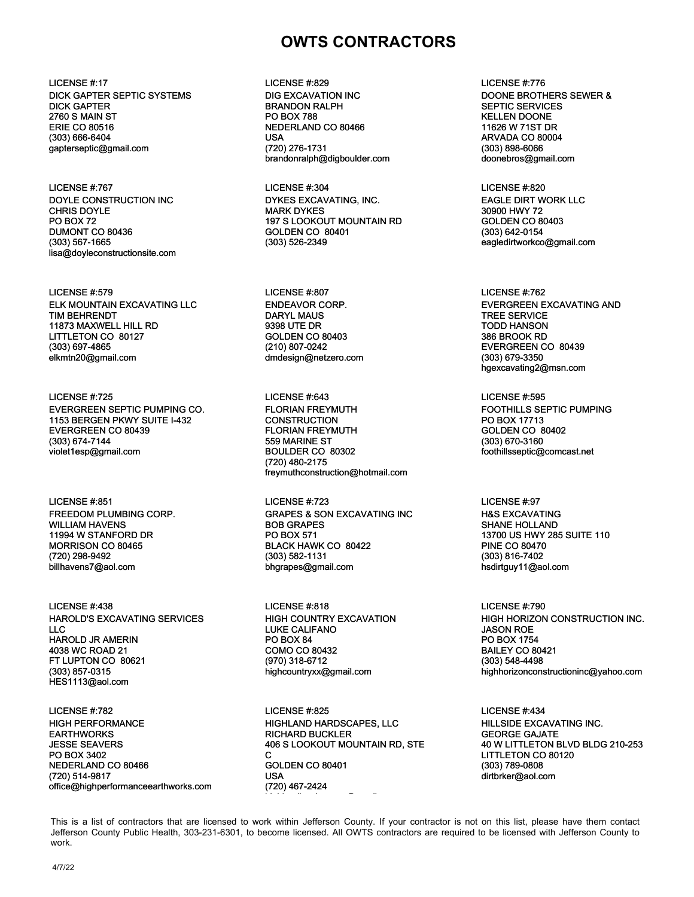LICENSE #:17 LICENSE #:829 LICENSE #:776 DICK GAPTER SEPTIC SYSTEMS DICK GAPTER 2760 S MAIN ST ERIE CO 80516 (303) 666-6404 gapterseptic@gmail.com

LICENSE #:767 LICENSE #:304 LICENSE #:820 DOYLE CONSTRUCTION INC CHRIS DOYLE PO BOX 72 DUMONT CO 80436 (303) 567-1665 lisa@doyleconstructionsite.com

LICENSE #:579 LICENSE #:807 LICENSE #:807 LICENSE #:579 ELK MOUNTAIN EXCAVATING LLC TIM BEHRENDT 11873 MAXWELL HILL RD LITTLETON CO 80127 (303) 697-4865 elkmtn20@gmail.com

LICENSE #:725 LICENSE #:643 LICENSE #:595 EVERGREEN SEPTIC PUMPING CO. 1153 BERGEN PKWY SUITE I-432 EVERGREEN CO 80439 (303) 674-7144 violet1esp@gmail.com

FREEDOM PLUMBING CORP. WILLIAM HAVENS 11994 W STANFORD DR MORRISON CO 80465 (720) 298-9492 billhavens7@aol.com

LICENSE #:438 LICENSE #:818 LICENSE #:790 HAROLD'S EXCAVATING SERVICES  $\sqcup$  C HAROLD JR AMERIN 4038 WC ROAD 21 FT LUPTON CO 80621 (303) 857-0315 HES1113@aol.com

HIGH PERFORMANCE **EARTHWORKS** JESSE SEAVERS PO BOX 3402 NEDERLAND CO 80466 (720) 514-9817 office@highperformanceearthworks.com DIG EXCAVATION INC BRANDON RALPH PO BOX 788 NEDERLAND CO 80466 USA (720) 276-1731 brandonralph@digboulder.com

DYKES EXCAVATING, INC. MARK DYKES 197 S LOOKOUT MOUNTAIN RD GOLDEN CO 80401 (303) 526-2349

ENDEAVOR CORP. DARYL MAUS 9398 UTE DR GOLDEN CO 80403 (210) 807-0242 dmdesign@netzero.com

FLORIAN FREYMUTH **CONSTRUCTION** FLORIAN FREYMUTH 559 MARINE ST BOULDER CO 80302 (720) 480-2175 freymuthconstruction@hotmail.com

LICENSE #:851 LICENSE #:723 LICENSE #:97 GRAPES & SON EXCAVATING INC BOB GRAPES PO BOX 571 BLACK HAWK CO 80422 (303) 582-1131 bhgrapes@gmail.com

> HIGH COUNTRY EXCAVATION LUKE CALIFANO PO BOX 84 COMO CO 80432 (970) 318-6712 highcountryxx@gmail.com

HIGHLAND HARDSCAPES, LLC RICHARD BUCKLER 406 S LOOKOUT MOUNTAIN RD, STE C GOLDEN CO 80401 USA (720) 467-2424 highlandhardscapes@gmail.com LICENSE #:782 LICENSE #:825 LICENSE #:434

DOONE BROTHERS SEWER & SEPTIC SERVICES KELLEN DOONE 11626 W 71ST DR ARVADA CO 80004 (303) 898-6066 doonebros@gmail.com

EAGLE DIRT WORK LLC 30900 HWY 72 GOLDEN CO 80403 (303) 642-0154 eagledirtworkco@gmail.com

EVERGREEN EXCAVATING AND TREE SERVICE TODD HANSON 386 BROOK RD EVERGREEN CO 80439 (303) 679-3350 hgexcavating2@msn.com

FOOTHILLS SEPTIC PUMPING PO BOX 17713 GOLDEN CO 80402 (303) 670-3160 foothillsseptic@comcast.net

H&S EXCAVATING SHANE HOLLAND 13700 US HWY 285 SUITE 110 PINE CO 80470 (303) 816-7402 hsdirtguy11@aol.com

HIGH HORIZON CONSTRUCTION INC. JASON ROE PO BOX 1754 BAILEY CO 80421 (303) 548-4498 highhorizonconstructioninc@yahoo.com

HILLSIDE EXCAVATING INC. GEORGE GAJATE 40 W LITTLETON BLVD BLDG 210-253 LITTLETON CO 80120 (303) 789-0808 dirtbrker@aol.com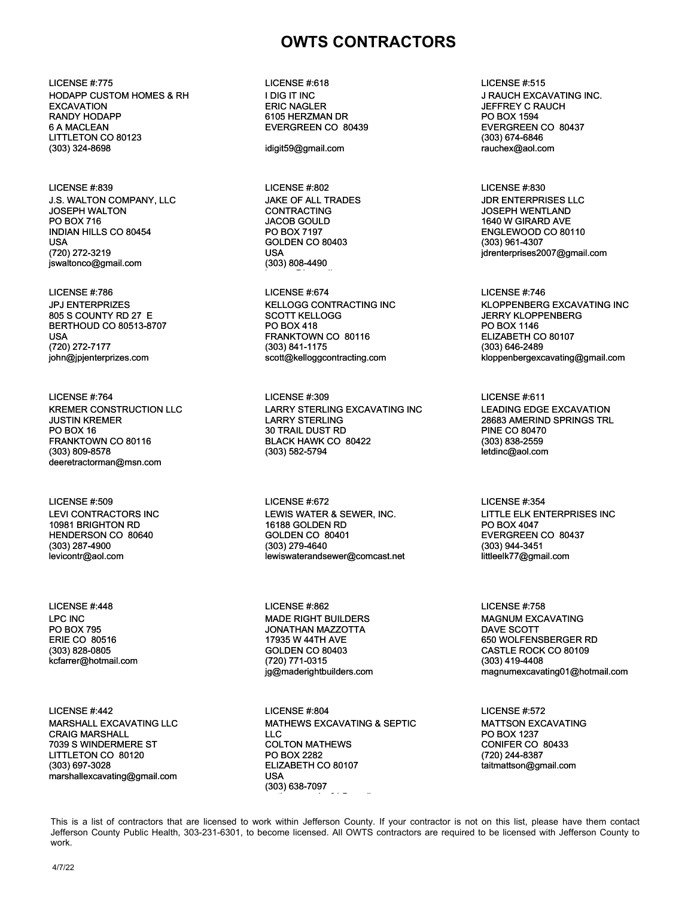LICENSE #:775 LICENSE #:618 LICENSE #:515 HODAPP CUSTOM HOMES & RH EXCAVATION RANDY HODAPP 6 A MACLEAN LITTLETON CO 80123 (303) 324-8698

LICENSE #:839 LICENSE #:802 LICENSE #:830 J.S. WALTON COMPANY, LLC JOSEPH WALTON PO BOX 716 INDIAN HILLS CO 80454 USA (720) 272-3219 jswaltonco@gmail.com

JPJ ENTERPRIZES 805 S COUNTY RD 27 E BERTHOUD CO 80513-8707 USA (720) 272-7177 john@jpjenterprizes.com

KREMER CONSTRUCTION LLC JUSTIN KREMER PO BOX 16 FRANKTOWN CO 80116 (303) 809-8578 deeretractorman@msn.com

LEVI CONTRACTORS INC 10981 BRIGHTON RD HENDERSON CO 80640 (303) 287-4900 levicontr@aol.com

LPC INC PO BOX 795 ERIE CO 80516 (303) 828-0805 kcfarrer@hotmail.com

LICENSE #:442 LICENSE #:804 LICENSE #:572 MARSHALL EXCAVATING LLC CRAIG MARSHALL 7039 S WINDERMERE ST LITTLETON CO 80120 (303) 697-3028 marshallexcavating@gmail.com

I DIG IT INC ERIC NAGLER 6105 HERZMAN DR EVERGREEN CO 80439

idigit59@gmail.com

JAKE OF ALL TRADES CONTRACTING JACOB GOULD PO BOX 7197 GOLDEN CO 80403 USA (303) 808-4490

joatcco@hotmail.com

LICENSE #:786 LICENSE #:674 LICENSE #:746 KELLOGG CONTRACTING INC SCOTT KELLOGG PO BOX 418 FRANKTOWN CO 80116 (303) 841-1175 scott@kelloggcontracting.com

LICENSE #:764 LICENSE #:309 LICENSE #:611 LARRY STERLING EXCAVATING INC LARRY STERLING 30 TRAIL DUST RD BLACK HAWK CO 80422 (303) 582-5794

LICENSE #:509 LICENSE #:672 LICENSE #:354 LEWIS WATER & SEWER, INC. 16188 GOLDEN RD GOLDEN CO 80401 (303) 279-4640 lewiswaterandsewer@comcast.net

LICENSE #:448 LICENSE #:862 LICENSE #:758 MADE RIGHT BUILDERS JONATHAN MAZZOTTA 17935 W 44TH AVE GOLDEN CO 80403 (720) 771-0315 jg@maderightbuilders.com

> MATHEWS EXCAVATING & SEPTIC  $\sqcup$  C COLTON MATHEWS PO BOX 2282 ELIZABETH CO 80107 USA (303) 638-7097 mathewsservies01@gmail.com

J RAUCH EXCAVATING INC. JEFFREY C RAUCH PO BOX 1594 EVERGREEN CO 80437 (303) 674-6846 rauchex@aol.com

JDR ENTERPRISES LLC JOSEPH WENTLAND 1640 W GIRARD AVE ENGLEWOOD CO 80110 (303) 961-4307 jdrenterprises2007@gmail.com

KLOPPENBERG EXCAVATING INC JERRY KLOPPENBERG PO BOX 1146 ELIZABETH CO 80107 (303) 646-2489 kloppenbergexcavating@gmail.com

LEADING EDGE EXCAVATION 28683 AMERIND SPRINGS TRL PINE CO 80470 (303) 838-2559 letdinc@aol.com

LITTLE ELK ENTERPRISES INC PO BOX 4047 EVERGREEN CO 80437 (303) 944-3451 littleelk77@gmail.com

MAGNUM EXCAVATING DAVE SCOTT 650 WOLFENSBERGER RD CASTLE ROCK CO 80109 (303) 419-4408 magnumexcavating01@hotmail.com

MATTSON EXCAVATING PO BOX 1237 CONIFER CO 80433 (720) 244-8387 taitmattson@gmail.com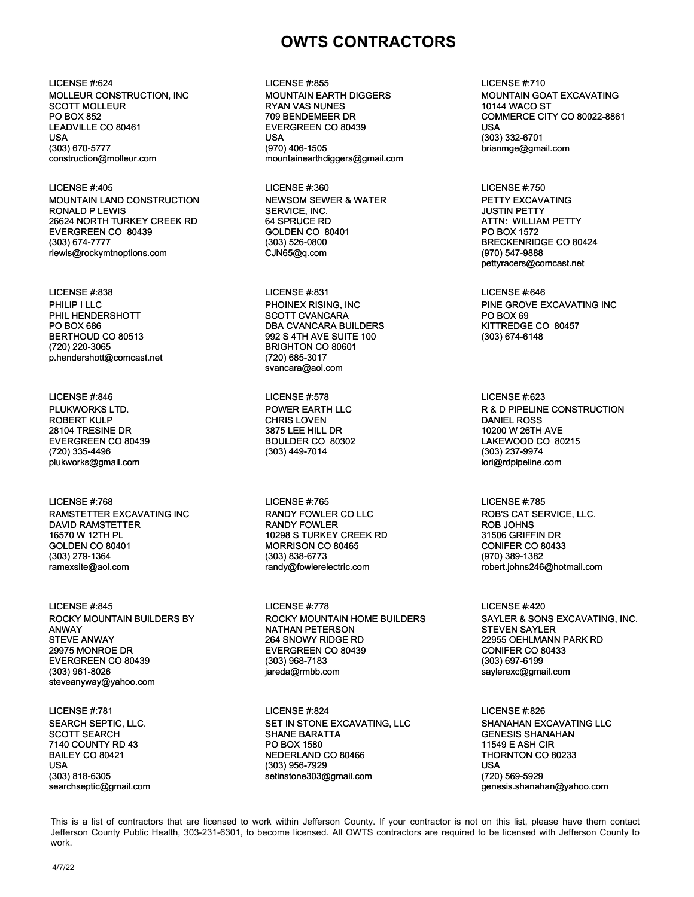MOLLEUR CONSTRUCTION, INC SCOTT MOLLEUR PO BOX 852 LEADVILLE CO 80461 USA (303) 670-5777 construction@molleur.com

LICENSE #:405 LICENSE #:360 LICENSE #:750 MOUNTAIN LAND CONSTRUCTION RONALD P LEWIS 26624 NORTH TURKEY CREEK RD EVERGREEN CO 80439 (303) 674-7777 rlewis@rockymtnoptions.com

PHILIP I LLC PHIL HENDERSHOTT PO BOX 686 BERTHOUD CO 80513 (720) 220-3065 p.hendershott@comcast.net

LICENSE #:846 LICENSE #:578 LICENSE #:623 PLUKWORKS LTD. ROBERT KULP 28104 TRESINE DR EVERGREEN CO 80439 (720) 335-4496 plukworks@gmail.com

LICENSE #:768 LICENSE #:765 LICENSE #:785 RAMSTETTER EXCAVATING INC DAVID RAMSTETTER 16570 W 12TH PL GOLDEN CO 80401 (303) 279-1364 ramexsite@aol.com

ROCKY MOUNTAIN BUILDERS BY ANWAY STEVE ANWAY 29975 MONROE DR EVERGREEN CO 80439 (303) 961-8026 steveanyway@yahoo.com

SEARCH SEPTIC, LLC. SCOTT SEARCH 7140 COUNTY RD 43 BAILEY CO 80421 USA (303) 818-6305 searchseptic@gmail.com

LICENSE #:624 LICENSE #:855 LICENSE #:710 MOUNTAIN EARTH DIGGERS RYAN VAS NUNES 709 BENDEMEER DR EVERGREEN CO 80439 USA (970) 406-1505 mountainearthdiggers@gmail.com

> NEWSOM SEWER & WATER SERVICE, INC. 64 SPRUCE RD GOLDEN CO 80401 (303) 526-0800 CJN65@q.com

LICENSE #:838 LICENSE #:831 LICENSE #:646 PHOINEX RISING, INC SCOTT CVANCARA DBA CVANCARA BUILDERS 992 S 4TH AVE SUITE 100 BRIGHTON CO 80601 (720) 685-3017 svancara@aol.com

> POWER EARTH LLC CHRIS LOVEN 3875 LEE HILL DR BOULDER CO 80302 (303) 449-7014

RANDY FOWLER CO LLC RANDY FOWLER 10298 S TURKEY CREEK RD MORRISON CO 80465 (303) 838-6773 randy@fowlerelectric.com

LICENSE #:845 LICENSE #:778 LICENSE #:420 ROCKY MOUNTAIN HOME BUILDERS NATHAN PETERSON 264 SNOWY RIDGE RD EVERGREEN CO 80439 (303) 968-7183 jareda@rmbb.com

LICENSE #:781 LICENSE #:824 LICENSE #:826 SET IN STONE EXCAVATING, LLC SHANE BARATTA PO BOX 1580 NEDERLAND CO 80466 (303) 956-7929 setinstone303@gmail.com

MOUNTAIN GOAT EXCAVATING 10144 WACO ST COMMERCE CITY CO 80022-8861 USA (303) 332-6701 brianmge@gmail.com

PETTY EXCAVATING JUSTIN PETTY ATTN: WILLIAM PETTY PO BOX 1572 BRECKENRIDGE CO 80424 (970) 547-9888 pettyracers@comcast.net

PINE GROVE EXCAVATING INC PO BOX 69 KITTREDGE CO 80457 (303) 674-6148

R & D PIPELINE CONSTRUCTION DANIEL ROSS 10200 W 26TH AVE LAKEWOOD CO 80215 (303) 237-9974 lori@rdpipeline.com

ROB'S CAT SERVICE, LLC. ROB JOHNS 31506 GRIFFIN DR CONIFER CO 80433 (970) 389-1382 robert.johns246@hotmail.com

SAYLER & SONS EXCAVATING, INC. STEVEN SAYLER 22955 OEHLMANN PARK RD CONIFER CO 80433 (303) 697-6199 saylerexc@gmail.com

SHANAHAN EXCAVATING LLC GENESIS SHANAHAN 11549 E ASH CIR THORNTON CO 80233 USA (720) 569-5929 genesis.shanahan@yahoo.com